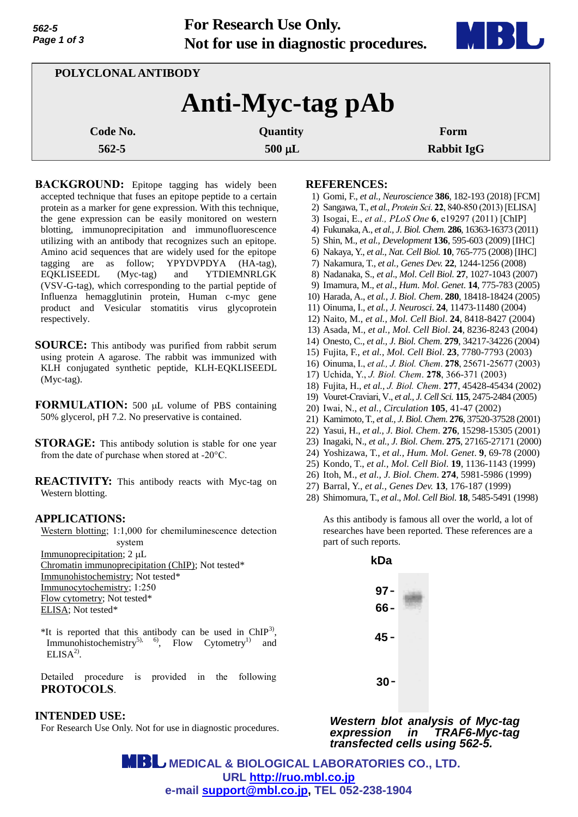**For Research Use Only. Not for use in diagnostic procedures.**



| POLYCLONAL ANTIBODY |             |                   |  |
|---------------------|-------------|-------------------|--|
| Anti-Myc-tag pAb    |             |                   |  |
| Code No.            | Quantity    | Form              |  |
| $562 - 5$           | $500 \mu L$ | <b>Rabbit IgG</b> |  |

**BACKGROUND:** Epitope tagging has widely been accepted technique that fuses an epitope peptide to a certain protein as a marker for gene expression. With this technique, the gene expression can be easily monitored on western blotting, immunoprecipitation and immunofluorescence utilizing with an antibody that recognizes such an epitope. Amino acid sequences that are widely used for the epitope tagging are as follow; YPYDVPDYA (HA-tag), EQKLISEEDL (Myc-tag) and YTDIEMNRLGK (VSV-G-tag), which corresponding to the partial peptide of Influenza hemagglutinin protein, Human c-myc gene product and Vesicular stomatitis virus glycoprotein respectively.

- **SOURCE:** This antibody was purified from rabbit serum using protein A agarose. The rabbit was immunized with KLH conjugated synthetic peptide, KLH-EQKLISEEDL (Myc-tag).
- **FORMULATION:** 500 µL volume of PBS containing 50% glycerol, pH 7.2. No preservative is contained.
- **STORAGE:** This antibody solution is stable for one year from the date of purchase when stored at -20°C.
- **REACTIVITY:** This antibody reacts with Myc-tag on Western blotting.

# **APPLICATIONS:**

Western blotting; 1:1,000 for chemiluminescence detection system

Immunoprecipitation;  $2 \mu L$ Chromatin immunoprecipitation (ChIP); Not tested\* Immunohistochemistry; Not tested\* Immunocytochemistry; 1:250 Flow cytometry; Not tested\* ELISA; Not tested\*

\*It is reported that this antibody can be used in  $ChIP<sup>3</sup>$ , Immunohistochemistry<sup>5), 6</sup>, Flow Cytometry<sup>1)</sup> and  $ELISA<sup>2</sup>$ .

Detailed procedure is provided in the following **PROTOCOLS**.

# **INTENDED USE:**

For Research Use Only. Not for use in diagnostic procedures.

#### **REFERENCES:**

- 1) Gomi, F., *et al., Neuroscience* **386**, 182-193 (2018) [FCM]
- 2) Sangawa, T., *et al., Protein Sci*. **22**, 840-850 (2013) [ELISA]
- 3) Isogai, E., *et al., PLoS One* **6**, e19297 (2011) [ChIP]
- 4) Fukunaka, A., *et al., J. Biol. Chem.* **286**, 16363-16373 (2011)
- 5) Shin, M., *et al., Development* **136**, 595-603 (2009) [IHC]
- 6) Nakaya, Y., *et al., Nat. Cell Biol.* **10**, 765-775 (2008) [IHC]
- 7) Nakamura, T., *et al., Genes Dev.* **22**, 1244-1256 (2008)
- 8) Nadanaka, S., *et al*., *Mol*. *Cell Biol*. **27**, 1027-1043 (2007)
- 9) Imamura, M., *et al*., *Hum*. *Mol*. *Genet*. **14**, 775-783 (2005)
- 10) Harada, A., *et al., J. Biol. Chem*. **280**, 18418-18424 (2005)
- 11) Oinuma, I., *et al., J. Neurosci*. **24**, 11473-11480 (2004)
- 12) Naito, M., *et al., Mol. Cell Biol*. **24**, 8418-8427 (2004)
- 13) Asada, M., *et al., Mol. Cell Biol*. **24**, 8236-8243 (2004)
- 14) Onesto, C., *et al., J. Biol. Chem*. **279**, 34217-34226 (2004)
- 15) Fujita, F., *et al., Mol. Cell Biol*. **23**, 7780-7793 (2003)
- 16) Oinuma, I., *et al., J. Biol. Chem*. **278**, 25671-25677 (2003)
- 17) Uchida, Y., *J. Biol. Chem*. **278**, 366-371 (2003)
- 18) Fujita, H., *et al., J. Biol. Chem*. **277**, 45428-45434 (2002)
- 19) Vouret-Craviari, V., *et al., J. Cell Sci.* **115**, 2475-2484 (2005)
- 20) Iwai, N., *et al., Circulation* **105**, 41-47 (2002)
- 21) Kamimoto, T., *et al., J. Biol. Chem*. **276**, 37520-37528 (2001)
- 22) Yasui, H., *et al., J. Biol. Chem*. **276**, 15298-15305 (2001)
- 23) Inagaki, N., *et al., J. Biol. Chem*. **275**, 27165-27171 (2000)
- 24) Yoshizawa, T., *et al., Hum. Mol. Genet*. **9**, 69-78 (2000)
- 25) Kondo, T., *et al., Mol. Cell Biol*. **19**, 1136-1143 (1999)
- 26) Itoh, M., *et al., J. Biol. Chem*. **274**, 5981-5986 (1999)
- 27) Barral, Y., *et al., Genes Dev.* **13**, 176-187 (1999)
- 28) Shimomura, T., *et al*., *Mol*. *Cell Biol*. **18**, 5485-5491 (1998)

As this antibody is famous all over the world, a lot of researches have been reported. These references are a part of such reports.

> **kDa 97**- **66**- **45** - **30**-

*Western blot analysis of Myc-tag expression in TRAF6-Myc-tag transfected cells using 562-5.*

 **MEDICAL & BIOLOGICAL LABORATORIES CO., LTD. URL [http://ruo.mbl.co.jp](http://ruo.mbl.co.jp/) e-mail [support@mbl.co.jp,](mailto:support@mbl.co.jp) TEL 052-238-1904**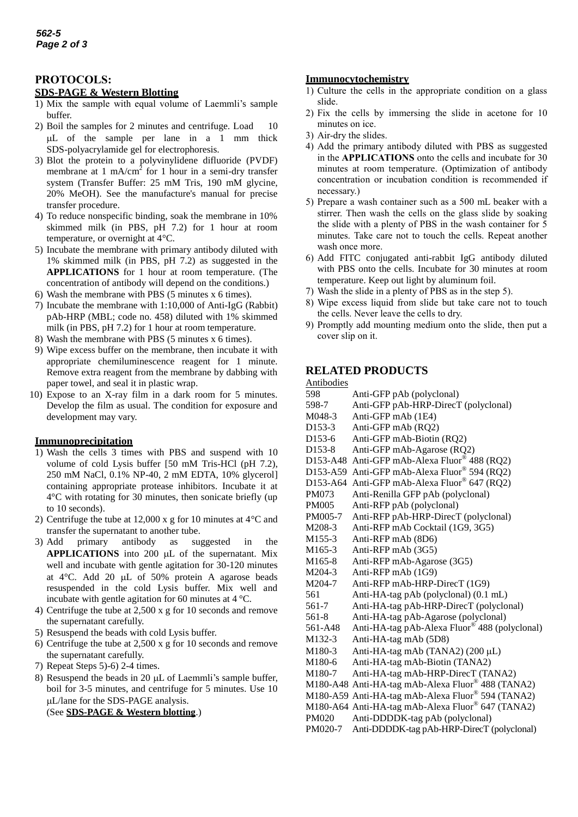# **PROTOCOLS:**

## **SDS-PAGE & Western Blotting**

- 1) Mix the sample with equal volume of Laemmli's sample buffer.
- 2) Boil the samples for 2 minutes and centrifuge. Load 10 L of the sample per lane in a 1 mm thick SDS-polyacrylamide gel for electrophoresis.
- 3) Blot the protein to a polyvinylidene difluoride (PVDF) membrane at 1 mA/cm<sup>2</sup> for 1 hour in a semi-dry transfer system (Transfer Buffer: 25 mM Tris, 190 mM glycine, 20% MeOH). See the manufacture's manual for precise transfer procedure.
- 4) To reduce nonspecific binding, soak the membrane in 10% skimmed milk (in PBS, pH 7.2) for 1 hour at room temperature, or overnight at 4°C.
- 5) Incubate the membrane with primary antibody diluted with 1% skimmed milk (in PBS, pH 7.2) as suggested in the **APPLICATIONS** for 1 hour at room temperature. (The concentration of antibody will depend on the conditions.)
- 6) Wash the membrane with PBS (5 minutes x 6 times).
- 7) Incubate the membrane with 1:10,000 of Anti-IgG (Rabbit) pAb-HRP (MBL; code no. 458) diluted with 1% skimmed milk (in PBS, pH 7.2) for 1 hour at room temperature.
- 8) Wash the membrane with PBS (5 minutes x 6 times).
- 9) Wipe excess buffer on the membrane, then incubate it with appropriate chemiluminescence reagent for 1 minute. Remove extra reagent from the membrane by dabbing with paper towel, and seal it in plastic wrap.
- 10) Expose to an X-ray film in a dark room for 5 minutes. Develop the film as usual. The condition for exposure and development may vary.

#### **Immunoprecipitation**

- 1) Wash the cells 3 times with PBS and suspend with 10 volume of cold Lysis buffer [50 mM Tris-HCl (pH 7.2), 250 mM NaCl, 0.1% NP-40, 2 mM EDTA, 10% glycerol] containing appropriate protease inhibitors. Incubate it at 4°C with rotating for 30 minutes, then sonicate briefly (up to 10 seconds).
- 2) Centrifuge the tube at 12,000 x g for 10 minutes at 4°C and transfer the supernatant to another tube.
- 3) Add primary antibody as suggested in the **APPLICATIONS** into 200 µL of the supernatant. Mix well and incubate with gentle agitation for 30-120 minutes at  $4^{\circ}$ C. Add 20 µL of 50% protein A agarose beads resuspended in the cold Lysis buffer. Mix well and incubate with gentle agitation for 60 minutes at 4 °C.
- 4) Centrifuge the tube at 2,500 x g for 10 seconds and remove the supernatant carefully.
- 5) Resuspend the beads with cold Lysis buffer.
- 6) Centrifuge the tube at 2,500 x g for 10 seconds and remove the supernatant carefully.
- 7) Repeat Steps 5)-6) 2-4 times.
- 8) Resuspend the beads in 20 µL of Laemmli's sample buffer. boil for 3-5 minutes, and centrifuge for 5 minutes. Use 10 L/lane for the SDS-PAGE analysis. (See **SDS-PAGE & Western blotting**.)

### **Immunocytochemistry**

- 1) Culture the cells in the appropriate condition on a glass slide.
- 2) Fix the cells by immersing the slide in acetone for 10 minutes on ice.
- 3) Air-dry the slides.
- 4) Add the primary antibody diluted with PBS as suggested in the **APPLICATIONS** onto the cells and incubate for 30 minutes at room temperature. (Optimization of antibody concentration or incubation condition is recommended if necessary.)
- 5) Prepare a wash container such as a 500 mL beaker with a stirrer. Then wash the cells on the glass slide by soaking the slide with a plenty of PBS in the wash container for 5 minutes. Take care not to touch the cells. Repeat another wash once more.
- 6) Add FITC conjugated anti-rabbit IgG antibody diluted with PBS onto the cells. Incubate for 30 minutes at room temperature. Keep out light by aluminum foil.
- 7) Wash the slide in a plenty of PBS as in the step 5).
- 8) Wipe excess liquid from slide but take care not to touch the cells. Never leave the cells to dry.
- 9) Promptly add mounting medium onto the slide, then put a cover slip on it.

# **RELATED PRODUCTS**

#### Antibodies

| 598                               | Anti-GFP pAb (polyclonal)                                 |
|-----------------------------------|-----------------------------------------------------------|
| 598-7                             | Anti-GFP pAb-HRP-DirecT (polyclonal)                      |
| M048-3                            | Anti-GFP mAb (1E4)                                        |
| D153-3                            | Anti-GFP mAb (RQ2)                                        |
| D <sub>153</sub> -6               | Anti-GFP mAb-Biotin (RQ2)                                 |
| D <sub>153</sub> -8               | Anti-GFP mAb-Agarose (RQ2)                                |
| D <sub>153</sub> -A <sub>48</sub> | Anti-GFP mAb-Alexa Fluor <sup>®</sup> 488 (RQ2)           |
|                                   | D153-A59 Anti-GFP mAb-Alexa Fluor® 594 (RQ2)              |
| D <sub>153</sub> -A <sub>64</sub> | Anti-GFP mAb-Alexa Fluor® 647 (RQ2)                       |
| <b>PM073</b>                      | Anti-Renilla GFP pAb (polyclonal)                         |
| <b>PM005</b>                      | Anti-RFP pAb (polyclonal)                                 |
| PM005-7                           | Anti-RFP pAb-HRP-DirecT (polyclonal)                      |
| M208-3                            | Anti-RFP mAb Cocktail (1G9, 3G5)                          |
| M <sub>155</sub> -3               | Anti-RFP mAb (8D6)                                        |
| M <sub>165</sub> -3               | Anti-RFP mAb (3G5)                                        |
| M <sub>165</sub> -8               | Anti-RFP mAb-Agarose (3G5)                                |
| M204-3                            | Anti-RFP mAb (1G9)                                        |
| M204-7                            | Anti-RFP mAb-HRP-DirecT (1G9)                             |
| 561                               | Anti-HA-tag pAb (polyclonal) (0.1 mL)                     |
| 561-7                             | Anti-HA-tag pAb-HRP-DirecT (polyclonal)                   |
| 561-8                             | Anti-HA-tag pAb-Agarose (polyclonal)                      |
| 561-A48                           | Anti-HA-tag pAb-Alexa Fluor <sup>®</sup> 488 (polyclonal) |
| M <sub>1</sub> 32-3               | Anti-HA-tag mAb (5D8)                                     |
| M180-3                            | Anti-HA-tag mAb (TANA2) (200 µL)                          |
| M180-6                            | Anti-HA-tag mAb-Biotin (TANA2)                            |
| M180-7                            | Anti-HA-tag mAb-HRP-DirecT (TANA2)                        |
|                                   | M180-A48 Anti-HA-tag mAb-Alexa Fluor® 488 (TANA2)         |
|                                   | M180-A59 Anti-HA-tag mAb-Alexa Fluor® 594 (TANA2)         |
|                                   | M180-A64 Anti-HA-tag mAb-Alexa Fluor® 647 (TANA2)         |
| <b>PM020</b>                      | Anti-DDDDK-tag pAb (polyclonal)                           |
| PM020-7                           | Anti-DDDDK-tag pAb-HRP-DirecT (polyclonal)                |
|                                   |                                                           |